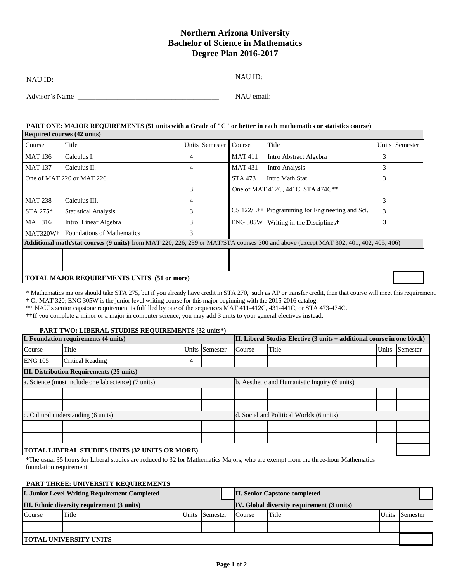# **Northern Arizona University Bachelor of Science in Mathematics Degree Plan 2016-2017**

| <b>NAU ID</b>  | <b>NAU ID:</b> |
|----------------|----------------|
| Advisor's Name | NAU email:     |

#### **PART ONE: MAJOR REQUIREMENTS (51 units with a Grade of "C" or better in each mathematics or statistics course**)

| <b>Required courses (42 units)</b>                                                                                                  |                                   |   |                |                                   |                                                               |   |                |  |
|-------------------------------------------------------------------------------------------------------------------------------------|-----------------------------------|---|----------------|-----------------------------------|---------------------------------------------------------------|---|----------------|--|
| Course                                                                                                                              | Title                             |   | Units Semester | Course                            | Title                                                         |   | Units Semester |  |
| <b>MAT 136</b>                                                                                                                      | Calculus I.                       | 4 |                | <b>MAT411</b>                     | Intro Abstract Algebra                                        | 3 |                |  |
| <b>MAT 137</b>                                                                                                                      | Calculus II.                      | 4 |                | <b>MAT431</b>                     | Intro Analysis                                                | 3 |                |  |
| One of MAT 220 or MAT 226                                                                                                           |                                   |   |                | STA 473                           | Intro Math Stat                                               | 3 |                |  |
|                                                                                                                                     |                                   | 3 |                | One of MAT 412C, 441C, STA 474C** |                                                               |   |                |  |
| <b>MAT 238</b>                                                                                                                      | Calculus III.                     | 4 |                |                                   |                                                               | 3 |                |  |
| STA 275*                                                                                                                            | <b>Statistical Analysis</b>       | 3 |                |                                   | $CS$ 122/L <sup>++</sup> Programming for Engineering and Sci. | 3 |                |  |
| <b>MAT 316</b>                                                                                                                      | Intro Linear Algebra              | 3 |                | <b>ENG 305W</b>                   | Writing in the Disciplines <sup>†</sup>                       | 3 |                |  |
| MAT320W <sup>+</sup>                                                                                                                | <b>Foundations of Mathematics</b> | 3 |                |                                   |                                                               |   |                |  |
| Additional math/stat courses (9 units) from MAT 220, 226, 239 or MAT/STA courses 300 and above (except MAT 302, 401, 402, 405, 406) |                                   |   |                |                                   |                                                               |   |                |  |
|                                                                                                                                     |                                   |   |                |                                   |                                                               |   |                |  |
|                                                                                                                                     |                                   |   |                |                                   |                                                               |   |                |  |
| <b>TOTAL MAJOR REQUIREMENTS UNITS (51 or more)</b>                                                                                  |                                   |   |                |                                   |                                                               |   |                |  |

\* Mathematics majors should take STA 275, but if you already have credit in STA 270, such as AP or transfer credit, then that course will meet this requirement. † Or MAT 320; ENG 305W is the junior level writing course for this major beginning with the 2015-2016 catalog.

\*\* NAU's senior capstone requirement is fulfilled by one of the sequences MAT 411-412C, 431-441C, or STA 473-474C.

††If you complete a minor or a major in computer science, you may add 3 units to your general electives instead.

#### **PART TWO: LIBERAL STUDIES REQUIREMENTS (32 units\*)**

| I. Foundation requirements (4 units)                  |                         |   | II. Liberal Studies Elective (3 units – additional course in one block) |        |       |       |          |  |
|-------------------------------------------------------|-------------------------|---|-------------------------------------------------------------------------|--------|-------|-------|----------|--|
| Course                                                | Title                   |   | Units Semester                                                          | Course | Title | Units | Semester |  |
| <b>ENG 105</b>                                        | <b>Critical Reading</b> | 4 |                                                                         |        |       |       |          |  |
| <b>III. Distribution Requirements (25 units)</b>      |                         |   |                                                                         |        |       |       |          |  |
| a. Science (must include one lab science) (7 units)   |                         |   | b. Aesthetic and Humanistic Inquiry (6 units)                           |        |       |       |          |  |
|                                                       |                         |   |                                                                         |        |       |       |          |  |
|                                                       |                         |   |                                                                         |        |       |       |          |  |
| c. Cultural understanding (6 units)                   |                         |   | d. Social and Political Worlds (6 units)                                |        |       |       |          |  |
|                                                       |                         |   |                                                                         |        |       |       |          |  |
|                                                       |                         |   |                                                                         |        |       |       |          |  |
| <b>TOTAL LIBERAL STUDIES UNITS (32 UNITS OR MORE)</b> |                         |   |                                                                         |        |       |       |          |  |

\*The usual 35 hours for Liberal studies are reduced to 32 for Mathematics Majors, who are exempt from the three-hour Mathematics foundation requirement.

## **PART THREE: UNIVERSITY REQUIREMENTS**

|                                             | <b>I. Junior Level Writing Requirement Completed</b> |  |                                            |        | <b>II. Senior Capstone completed</b> |       |          |
|---------------------------------------------|------------------------------------------------------|--|--------------------------------------------|--------|--------------------------------------|-------|----------|
| III. Ethnic diversity requirement (3 units) |                                                      |  | IV. Global diversity requirement (3 units) |        |                                      |       |          |
| Course                                      | Title                                                |  | Units Semester                             | Course | Title                                | Units | Semester |
|                                             |                                                      |  |                                            |        |                                      |       |          |
|                                             | <b>TOTAL UNIVERSITY UNITS</b>                        |  |                                            |        |                                      |       |          |